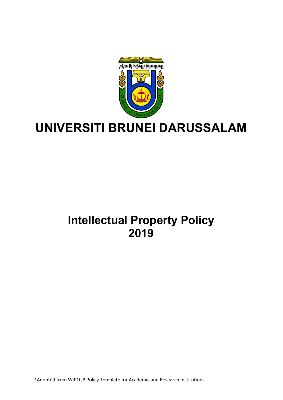

# **UNIVERSITI BRUNEI DARUSSALAM**

## **Intellectual Property Policy 2019**

\*Adopted from WIPO IP Policy Template for Academic and Research Institutions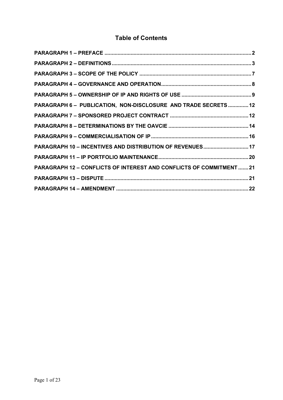## **Table of Contents**

| PARAGRAPH 6 - PUBLICATION, NON-DISCLOSURE AND TRADE SECRETS  12            |  |
|----------------------------------------------------------------------------|--|
|                                                                            |  |
|                                                                            |  |
|                                                                            |  |
| PARAGRAPH 10 - INCENTIVES AND DISTRIBUTION OF REVENUES 17                  |  |
|                                                                            |  |
| <b>PARAGRAPH 12 - CONFLICTS OF INTEREST AND CONFLICTS OF COMMITMENT 21</b> |  |
|                                                                            |  |
|                                                                            |  |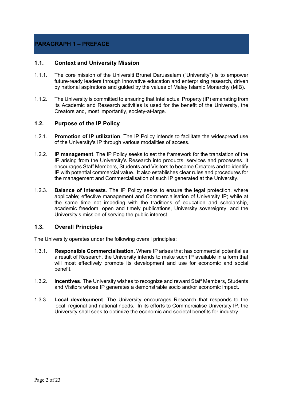## **PARAGRAPH 1 – PREFACE**

#### **1.1. Context and University Mission**

- 1.1.1. The core mission of the Universiti Brunei Darussalam ("University") is to empower future-ready leaders through innovative education and enterprising research, driven by national aspirations and guided by the values of Malay Islamic Monarchy (MIB).
- 1.1.2. The University is committed to ensuring that Intellectual Property (IP) emanating from its Academic and Research activities is used for the benefit of the University, the Creators and, most importantly, society-at-large.

#### **1.2. Purpose of the IP Policy**

- 1.2.1. **Promotion of IP utilization**. The IP Policy intends to facilitate the widespread use of the University's IP through various modalities of access.
- 1.2.2. **IP management**. The IP Policy seeks to set the framework for the translation of the IP arising from the University's Research into products, services and processes. It encourages Staff Members, Students and Visitors to become Creators and to identify IP with potential commercial value. It also establishes clear rules and procedures for the management and Commercialisation of such IP generated at the University.
- 1.2.3. **Balance of interests**. The IP Policy seeks to ensure the legal protection, where applicable; effective management and Commercialisation of University IP; while at the same time not impeding with the traditions of education and scholarship, academic freedom, open and timely publications, University sovereignty, and the University's mission of serving the public interest.

#### **1.3. Overall Principles**

The University operates under the following overall principles:

- 1.3.1. **Responsible Commercialisation**. Where IP arises that has commercial potential as a result of Research, the University intends to make such IP available in a form that will most effectively promote its development and use for economic and social benefit.
- 1.3.2. **Incentives**. The University wishes to recognize and reward Staff Members, Students and Visitors whose IP generates a demonstrable socio and/or economic impact.
- 1.3.3. **Local development**. The University encourages Research that responds to the local, regional and national needs. In its efforts to Commercialise University IP, the University shall seek to optimize the economic and societal benefits for industry.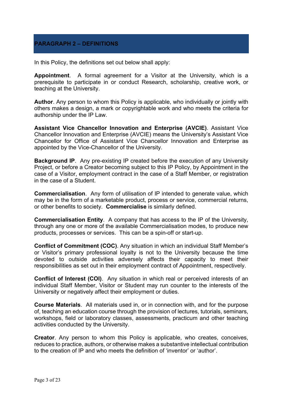## **PARAGRAPH 2 – DEFINITIONS**

In this Policy, the definitions set out below shall apply:

**Appointment**. A formal agreement for a Visitor at the University, which is a prerequisite to participate in or conduct Research, scholarship, creative work, or teaching at the University.

**Author**. Any person to whom this Policy is applicable, who individually or jointly with others makes a design, a mark or copyrightable work and who meets the criteria for authorship under the IP Law.

**Assistant Vice Chancellor Innovation and Enterprise (AVCIE)**. Assistant Vice Chancellor Innovation and Enterprise (AVCIE) means the University's Assistant Vice Chancellor for Office of Assistant Vice Chancellor Innovation and Enterprise as appointed by the Vice-Chancellor of the University.

**Background IP**.Any pre-existing IP created before the execution of any University Project, or before a Creator becoming subject to this IP Policy, by Appointment in the case of a Visitor, employment contract in the case of a Staff Member, or registration in the case of a Student.

**Commercialisation**.Any form of utilisation of IP intended to generate value, which may be in the form of a marketable product, process or service, commercial returns, or other benefits to society. **Commercialise** is similarly defined.

**Commercialisation Entity**.A company that has access to the IP of the University, through any one or more of the available Commercialisation modes, to produce new products, processes or services. This can be a spin-off or start-up.

**Conflict of Commitment (COC)**. Any situation in which an individual Staff Member's or Visitor's primary professional loyalty is not to the University because the time devoted to outside activities adversely affects their capacity to meet their responsibilities as set out in their employment contract of Appointment, respectively.

**Conflict of Interest (COI)**. Any situation in which real or perceived interests of an individual Staff Member, Visitor or Student may run counter to the interests of the University or negatively affect their employment or duties.

**Course Materials**. All materials used in, or in connection with, and for the purpose of, teaching an education course through the provision of lectures, tutorials, seminars, workshops, field or laboratory classes, assessments, practicum and other teaching activities conducted by the University.

**Creator**. Any person to whom this Policy is applicable, who creates, conceives, reduces to practice, authors, or otherwise makes a substantive intellectual contribution to the creation of IP and who meets the definition of 'inventor' or 'author'.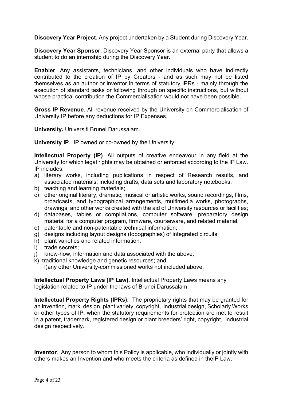**Discovery Year Project**. Any project undertaken by a Student during Discovery Year.

**Discovery Year Sponsor.** Discovery Year Sponsor is an external party that allows a student to do an internship during the Discovery Year.

**Enabler**. Any assistants, technicians, and other individuals who have indirectly contributed to the creation of IP by Creators - and as such may not be listed themselves as an author or inventor in terms of statutory IPRs - mainly through the execution of standard tasks or following through on specific instructions, but without whose practical contribution the Commercialisation would not have been possible.

**Gross IP Revenue**. All revenue received by the University on Commercialisation of University IP before any deductions for IP Expenses.

**University.** Universiti Brunei Darussalam.

**University IP**.IP owned or co-owned by the University.

**Intellectual Property (IP)**. All outputs of creative endeavour in any field at the University for which legal rights may be obtained or enforced according to the IP Law. IP includes:

- a) literary works, including publications in respect of Research results, and associated materials, including drafts, data sets and laboratory notebooks;
- b) teaching and learning materials;
- c) other original literary, dramatic, musical or artistic works, sound recordings, films, broadcasts, and typographical arrangements, multimedia works, photographs, drawings, and other works created with the aid of University resources or facilities;
- d) databases, tables or compilations, computer software, preparatory design material for a computer program, firmware, courseware, and related material;
- e) patentable and non-patentable technical information;
- g) designs including layout designs (topographies) of integrated circuits;
- h) plant varieties and related information;
- i) trade secrets;
- j) know-how, information and data associated with the above;
- k) traditional knowledge and genetic resources; and
	- l)any other University-commissioned works not included above.

**Intellectual Property Laws (IP Law)**. Intellectual Property Laws means any legislation related to IP under the laws of Brunei Darussalam.

**Intellectual Property Rights (IPRs)**. The proprietary rights that may be granted for an invention, mark, design, plant variety, copyright, industrial design, Scholarly Works or other types of IP, when the statutory requirements for protection are met to result in a patent, trademark, registered design or plant breeders' right, copyright, industrial design respectively.

**Inventor**. Any person to whom this Policy is applicable, who individually or jointly with others makes an Invention and who meets the criteria as defined in theIP Law.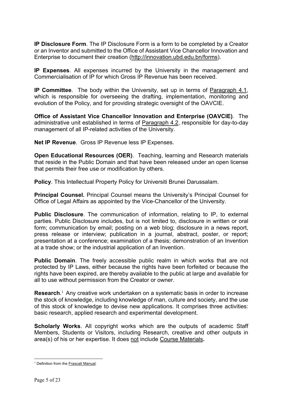**IP Disclosure Form**. The IP Disclosure Form is a form to be completed by a Creator or an Inventor and submitted to the Office of Assistant Vice Chancellor Innovation and Enterprise to document their creation (http://innovation.ubd.edu.bn/forms).

**IP Expenses**. All expenses incurred by the University in the management and Commercialisation of IP for which Gross IP Revenue has been received.

**IP Committee**. The body within the University, set up in terms of Paragraph 4.1, which is responsible for overseeing the drafting, implementation, monitoring and evolution of the Policy, and for providing strategic oversight of the OAVCIE.

**Office of Assistant Vice Chancellor Innovation and Enterprise (OAVCIE)**.The administrative unit established in terms of Paragraph 4.2, responsible for day-to-day management of all IP-related activities of the University.

**Net IP Revenue**. Gross IP Revenue less IP Expenses.

**Open Educational Resources (OER)**. Teaching, learning and Research materials that reside in the Public Domain and that have been released under an open license that permits their free use or modification by others.

**Policy**. This Intellectual Property Policy for Universiti Brunei Darussalam.

**Principal Counsel.** Principal Counsel means the University's Principal Counsel for Office of Legal Affairs as appointed by the Vice-Chancellor of the University.

**Public Disclosure**. The communication of information, relating to IP, to external parties. Public Disclosure includes, but is not limited to, disclosure in written or oral form; communication by email; posting on a web blog; disclosure in a news report, press release or interview; publication in a journal, abstract, poster, or report; presentation at a conference; examination of a thesis; demonstration of an Invention at a trade show; or the industrial application of an Invention.

**Public Domain**. The freely accessible public realm in which works that are not protected by IP Laws, either because the rights have been forfeited or because the rights have been expired, are thereby available to the public at large and available for all to use without permission from the Creator or owner.

**Research**. <sup>1</sup> Any creative work undertaken on a systematic basis in order to increase the stock of knowledge, including knowledge of man, culture and society, and the use of this stock of knowledge to devise new applications. It comprises three activities: basic research, applied research and experimental development.

**Scholarly Works**. All copyright works which are the outputs of academic Staff Members, Students or Visitors, including Research, creative and other outputs in area(s) of his or her expertise. It does not include Course Materials**.**

<sup>1</sup> Definition from the Frascati Manual.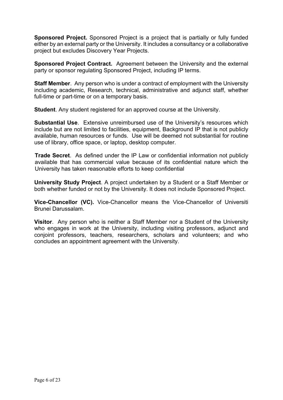**Sponsored Project.** Sponsored Project is a project that is partially or fully funded either by an external party or the University. It includes a consultancy or a collaborative project but excludes Discovery Year Projects.

**Sponsored Project Contract.** Agreement between the University and the external party or sponsor regulating Sponsored Project, including IP terms.

**Staff Member**.Any person who is under a contract of employment with the University including academic, Research, technical, administrative and adjunct staff, whether full-time or part-time or on a temporary basis.

**Student**. Any student registered for an approved course at the University.

**Substantial Use**.Extensive unreimbursed use of the University's resources which include but are not limited to facilities, equipment, Background IP that is not publicly available, human resources or funds. Use will be deemed not substantial for routine use of library, office space, or laptop, desktop computer.

**Trade Secret**.As defined under the IP Law or confidential information not publicly available that has commercial value because of its confidential nature which the University has taken reasonable efforts to keep confidential

**University Study Project**. A project undertaken by a Student or a Staff Member or both whether funded or not by the University. It does not include Sponsored Project.

**Vice-Chancellor (VC).** Vice-Chancellor means the Vice-Chancellor of Universiti Brunei Darussalam.

**Visitor**. Any person who is neither a Staff Member nor a Student of the University who engages in work at the University, including visiting professors, adjunct and conjoint professors, teachers, researchers, scholars and volunteers; and who concludes an appointment agreement with the University.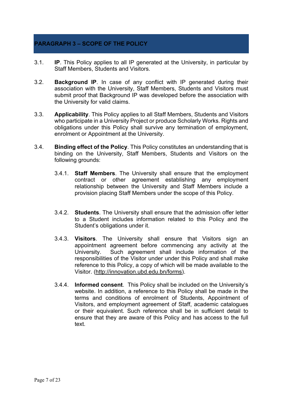## **PARAGRAPH 3 – SCOPE OF THE POLICY**

- 3.1. **IP**. This Policy applies to all IP generated at the University, in particular by Staff Members, Students and Visitors.
- 3.2. **Background IP**. In case of any conflict with IP generated during their association with the University, Staff Members, Students and Visitors must submit proof that Background IP was developed before the association with the University for valid claims.
- 3.3. **Applicability**. This Policy applies to all Staff Members, Students and Visitors who participate in a University Project or produce Scholarly Works. Rights and obligations under this Policy shall survive any termination of employment, enrolment or Appointment at the University.
- 3.4. **Binding effect of the Policy**. This Policy constitutes an understanding that is binding on the University, Staff Members, Students and Visitors on the following grounds:
	- 3.4.1. **Staff Members**. The University shall ensure that the employment contract or other agreement establishing any employment relationship between the University and Staff Members include a provision placing Staff Members under the scope of this Policy.
	- 3.4.2. **Students**. The University shall ensure that the admission offer letter to a Student includes information related to this Policy and the Student's obligations under it.
	- 3.4.3. **Visitors**. The University shall ensure that Visitors sign an appointment agreement before commencing any activity at the University. Such agreement shall include information of the responsibilities of the Visitor under under this Policy and shall make reference to this Policy, a copy of which will be made available to the Visitor. (http://innovation.ubd.edu.bn/forms).
	- 3.4.4. **Informed consent**. This Policy shall be included on the University's website. In addition, a reference to this Policy shall be made in the terms and conditions of enrolment of Students, Appointment of Visitors, and employment agreement of Staff, academic catalogues or their equivalent. Such reference shall be in sufficient detail to ensure that they are aware of this Policy and has access to the full text.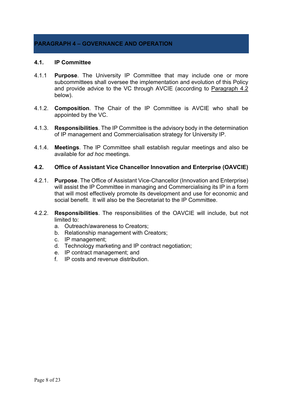## **PARAGRAPH 4 – GOVERNANCE AND OPERATION**

## **4.1. IP Committee**

- 4.1.1 **Purpose**. The University IP Committee that may include one or more subcommittees shall oversee the implementation and evolution of this Policy and provide advice to the VC through AVCIE (according to Paragraph 4.2 below).
- 4.1.2. **Composition**. The Chair of the IP Committee is AVCIE who shall be appointed by the VC.
- 4.1.3. **Responsibilities**. The IP Committee is the advisory body in the determination of IP management and Commercialisation strategy for University IP.
- 4.1.4. **Meetings**. The IP Committee shall establish regular meetings and also be available for *ad hoc* meetings.

#### **4.2. Office of Assistant Vice Chancellor Innovation and Enterprise (OAVCIE)**

- 4.2.1. **Purpose**. The Office of Assistant Vice-Chancellor (Innovation and Enterprise) will assist the IP Committee in managing and Commercialising its IP in a form that will most effectively promote its development and use for economic and social benefit. It will also be the Secretariat to the IP Committee.
- 4.2.2. **Responsibilities**. The responsibilities of the OAVCIE will include, but not limited to:
	- a. Outreach/awareness to Creators;
	- b. Relationship management with Creators;
	- c. IP management;
	- d. Technology marketing and IP contract negotiation;
	- e. IP contract management; and
	- f. IP costs and revenue distribution.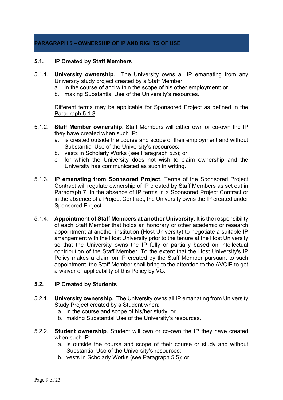## **PARAGRAPH 5 – OWNERSHIP OF IP AND RIGHTS OF USE**

## **5.1. IP Created by Staff Members**

- 5.1.1. **University ownership**. The University owns all IP emanating from any University study project created by a Staff Member:
	- a. in the course of and within the scope of his other employment; or
	- b. making Substantial Use of the University's resources.

Different terms may be applicable for Sponsored Project as defined in the Paragraph 5.1.3.

- 5.1.2. **Staff Member ownership**. Staff Members will either own or co-own the IP they have created when such IP:
	- a. is created outside the course and scope of their employment and without Substantial Use of the University's resources;
	- b. vests in Scholarly Works (see Paragraph 5.5); or
	- c. for which the University does not wish to claim ownership and the University has communicated as such in writing.
- 5.1.3. **IP emanating from Sponsored Project**. Terms of the Sponsored Project Contract will regulate ownership of IP created by Staff Members as set out in Paragraph 7. In the absence of IP terms in a Sponsored Project Contract or in the absence of a Project Contract, the University owns the IP created under Sponsored Project.
- 5.1.4. **Appointment of Staff Members at another University**. It is the responsibility of each Staff Member that holds an honorary or other academic or research appointment at another institution (Host University) to negotiate a suitable IP arrangement with the Host University prior to the tenure at the Host University so that the University owns the IP fully or partially based on intellectual contribution of the Staff Member. To the extent that the Host University's IP Policy makes a claim on IP created by the Staff Member pursuant to such appointment, the Staff Member shall bring to the attention to the AVCIE to get a waiver of applicability of this Policy by VC.

#### **5.2. IP Created by Students**

- 5.2.1. **University ownership**. The University owns all IP emanating from University Study Project created by a Student when:
	- a. in the course and scope of his/her study; or
	- b. making Substantial Use of the University's resources.
- 5.2.2. **Student ownership**. Student will own or co-own the IP they have created when such IP:
	- a. is outside the course and scope of their course or study and without Substantial Use of the University's resources;
	- b. vests in Scholarly Works (see Paragraph 5.5); or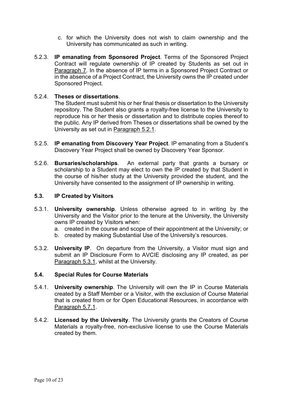- c. for which the University does not wish to claim ownership and the University has communicated as such in writing.
- 5.2.3. **IP emanating from Sponsored Project**. Terms of the Sponsored Project Contract will regulate ownership of IP created by Students as set out in Paragraph 7. In the absence of IP terms in a Sponsored Project Contract or in the absence of a Project Contract, the University owns the IP created under Sponsored Project.

## 5.2.4. **Theses or dissertations**.

The Student must submit his or her final thesis or dissertation to the University repository. The Student also grants a royalty-free license to the University to reproduce his or her thesis or dissertation and to distribute copies thereof to the public. Any IP derived from Theses or dissertations shall be owned by the University as set out in Paragraph 5.2.1.

- 5.2.5. **IP emanating from Discovery Year Project**. IP emanating from a Student's Discovery Year Project shall be owned by Discovery Year Sponsor.
- 5.2.6. **Bursaries/scholarships**. An external party that grants a bursary or scholarship to a Student may elect to own the IP created by that Student in the course of his/her study at the University provided the student, and the University have consented to the assignment of IP ownership in writing.

## **5.3. IP Created by Visitors**

- 5.3.1. **University ownership**. Unless otherwise agreed to in writing by the University and the Visitor prior to the tenure at the University, the University owns IP created by Visitors when:
	- a. created in the course and scope of their appointment at the University; or
	- b. created by making Substantial Use of the University's resources.
- 5.3.2. **University IP**. On departure from the University, a Visitor must sign and submit an IP Disclosure Form to AVCIE disclosing any IP created, as per Paragraph 5.3.1, whilst at the University.

## **5.4. Special Rules for Course Materials**

- 5.4.1. **University ownership**. The University will own the IP in Course Materials created by a Staff Member or a Visitor, with the exclusion of Course Material that is created from or for Open Educational Resources, in accordance with Paragraph 5.7.1.
- 5.4.2. **Licensed by the University**. The University grants the Creators of Course Materials a royalty-free, non-exclusive license to use the Course Materials created by them.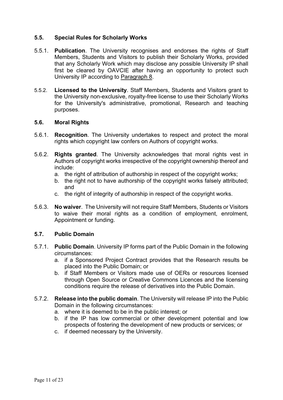## **5.5. Special Rules for Scholarly Works**

- 5.5.1. **Publication**. The University recognises and endorses the rights of Staff Members, Students and Visitors to publish their Scholarly Works, provided that any Scholarly Work which may disclose any possible University IP shall first be cleared by OAVCIE after having an opportunity to protect such University IP according to Paragraph 8.
- 5.5.2. **Licensed to the University**. Staff Members, Students and Visitors grant to the University non-exclusive, royalty-free license to use their Scholarly Works for the University's administrative, promotional, Research and teaching purposes.

## **5.6. Moral Rights**

- 5.6.1. **Recognition**. The University undertakes to respect and protect the moral rights which copyright law confers on Authors of copyright works.
- 5.6.2. **Rights granted**. The University acknowledges that moral rights vest in Authors of copyright works irrespective of the copyright ownership thereof and include:
	- a. the right of attribution of authorship in respect of the copyright works;
	- b. the right not to have authorship of the copyright works falsely attributed; and
	- c. the right of integrity of authorship in respect of the copyright works.
- 5.6.3. **No waiver**. The University will not require Staff Members, Students or Visitors to waive their moral rights as a condition of employment, enrolment, Appointment or funding.

## **5.7. Public Domain**

- 5.7.1. **Public Domain**. University IP forms part of the Public Domain in the following circumstances:
	- a. if a Sponsored Project Contract provides that the Research results be placed into the Public Domain; or
	- b. if Staff Members or Visitors made use of OERs or resources licensed through Open Source or Creative Commons Licences and the licensing conditions require the release of derivatives into the Public Domain.
- 5.7.2. **Release into the public domain**. The University will release IP into the Public Domain in the following circumstances:
	- a. where it is deemed to be in the public interest; or
	- b. if the IP has low commercial or other development potential and low prospects of fostering the development of new products or services; or
	- c. if deemed necessary by the University.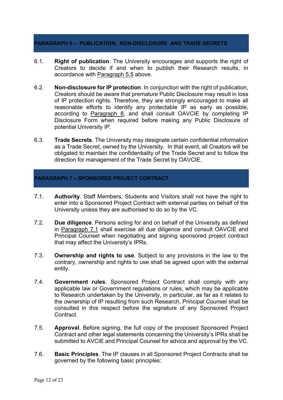## **PARAGRAPH 6 – PUBLICATION, NON-DISCLOSURE AND TRADE SECRETS**

- 6.1. **Right of publication**. The University encourages and supports the right of Creators to decide if and when to publish their Research results, in accordance with Paragraph 5.5 above.
- 6.2. **Non-disclosure for IP protection**. In conjunction with the right of publication, Creators should be aware that premature Public Disclosure may result in loss of IP protection rights. Therefore, they are strongly encouraged to make all reasonable efforts to identify any protectable IP as early as possible, according to Paragraph 8, and shall consult OAVCIE by completing IP Disclosure Form when required before making any Public Disclosure of potential University IP.
- 6.3. **Trade Secrets**. The University may designate certain confidential information as a Trade Secret, owned by the University. In that event, all Creators will be obligated to maintain the confidentiality of the Trade Secret and to follow the direction for management of the Trade Secret by OAVCIE.

## **PARAGRAPH 7 – SPONSORED PROJECT CONTRACT**

- 7.1. **Authority**. Staff Members, Students and Visitors shall not have the right to enter into a Sponsored Project Contract with external parties on behalf of the University unless they are authorised to do so by the VC.
- 7.2. **Due diligence**. Persons acting for and on behalf of the University as defined in Paragraph 7.1 shall exercise all due diligence and consult OAVCIE and Principal Counsel when negotiating and signing sponsored project contract that may affect the University's IPRs.
- 7.3. **Ownership and rights to use**. Subject to any provisions in the law to the contrary, ownership and rights to use shall be agreed upon with the external entity.
- 7.4. **Government rules**. Sponsored Project Contract shall comply with any applicable law or Government regulations or rules, which may be applicable to Research undertaken by the University, in particular, as far as it relates to the ownership of IP resulting from such Research. Principal Counsel shall be consulted in this respect before the signature of any Sponsored Project Contract.
- 7.5. **Approval**. Before signing, the full copy of the proposed Sponsored Project Contract and other legal statements concerning the University's IPRs shall be submitted to AVCIE and Principal Counsel for advice and approval by the VC.
- 7.6. **Basic Principles**. The IP clauses in all Sponsored Project Contracts shall be governed by the following basic principles: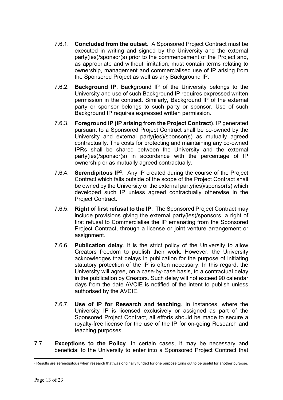- 7.6.1. **Concluded from the outset**. A Sponsored Project Contract must be executed in writing and signed by the University and the external party(ies)/sponsor(s) prior to the commencement of the Project and, as appropriate and without limitation, must contain terms relating to ownership, management and commercialised use of IP arising from the Sponsored Project as well as any Background IP.
- 7.6.2. **Background IP**. Background IP of the University belongs to the University and use of such Background IP requires expressed written permission in the contract. Similarly, Background IP of the external party or sponsor belongs to such party or sponsor. Use of such Background IP requires expressed written permission.
- 7.6.3. **Foreground IP (IP arising from the Project Contract)**. IP generated pursuant to a Sponsored Project Contract shall be co-owned by the University and external party(ies)/sponsor(s) as mutually agreed contractually. The costs for protecting and maintaining any co-owned IPRs shall be shared between the University and the external party(ies)/sponsor(s) in accordance with the percentage of IP ownership or as mutually agreed contractually.
- 7.6.4. **Serendipitous IP**2.Any IP created during the course of the Project Contract which falls outside of the scope of the Project Contract shall be owned by the University or the external party(ies)/sponsor(s) which developed such IP unless agreed contractually otherwise in the Project Contract.
- 7.6.5. **Right of first refusal to the IP**. The Sponsored Project Contract may include provisions giving the external party(ies)/sponsors, a right of first refusal to Commercialise the IP emanating from the Sponsored Project Contract, through a license or joint venture arrangement or assignment.
- 7.6.6. **Publication delay**. It is the strict policy of the University to allow Creators freedom to publish their work. However, the University acknowledges that delays in publication for the purpose of initiating statutory protection of the IP is often necessary. In this regard, the University will agree, on a case-by-case basis, to a contractual delay in the publication by Creators. Such delay will not exceed 90 calendar days from the date AVCIE is notified of the intent to publish unless authorised by the AVCIE.
- 7.6.7. **Use of IP for Research and teaching**. In instances, where the University IP is licensed exclusively or assigned as part of the Sponsored Project Contract, all efforts should be made to secure a royalty-free license for the use of the IP for on-going Research and teaching purposes.
- 7.7. **Exceptions to the Policy**. In certain cases, it may be necessary and beneficial to the University to enter into a Sponsored Project Contract that

<sup>&</sup>lt;sup>2</sup> Results are serendipitous when research that was originally funded for one purpose turns out to be useful for another purpose.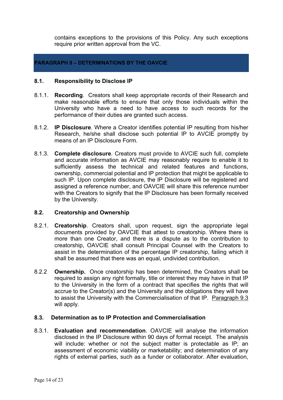contains exceptions to the provisions of this Policy. Any such exceptions require prior written approval from the VC.

## **PARAGRAPH 8 – DETERMINATIONS BY THE OAVCIE**

## **8.1. Responsibility to Disclose IP**

- 8.1.1. **Recording**. Creators shall keep appropriate records of their Research and make reasonable efforts to ensure that only those individuals within the University who have a need to have access to such records for the performance of their duties are granted such access.
- 8.1.2. **IP Disclosure**. Where a Creator identifies potential IP resulting from his/her Research, he/she shall disclose such potential IP to AVCIE promptly by means of an IP Disclosure Form.
- 8.1.3. **Complete disclosure**. Creators must provide to AVCIE such full, complete and accurate information as AVCIE may reasonably require to enable it to sufficiently assess the technical and related features and functions, ownership, commercial potential and IP protection that might be applicable to such IP. Upon complete disclosure, the IP Disclosure will be registered and assigned a reference number, and OAVCIE will share this reference number with the Creators to signify that the IP Disclosure has been formally received by the University.

## **8.2. Creatorship and Ownership**

- 8.2.1. **Creatorship**. Creators shall, upon request, sign the appropriate legal documents provided by OAVCIE that attest to creatorship. Where there is more than one Creator, and there is a dispute as to the contribution to creatorship, OAVCIE shall consult Principal Counsel with the Creators to assist in the determination of the percentage IP creatorship, failing which it shall be assumed that there was an equal, undivided contribution.
- 8.2.2 **Ownership.** Once creatorship has been determined, the Creators shall be required to assign any right formally, title or interest they may have in that IP to the University in the form of a contract that specifies the rights that will accrue to the Creator(s) and the University and the obligations they will have to assist the University with the Commercialisation of that IP. Paragraph 9.3 will apply.

#### **8.3. Determination as to IP Protection and Commercialisation**

8.3.1. **Evaluation and recommendation**. OAVCIE will analyse the information disclosed in the IP Disclosure within 90 days of formal receipt. The analysis will include: whether or not the subject matter is protectable as IP; an assessment of economic viability or marketability; and determination of any rights of external parties, such as a funder or collaborator. After evaluation,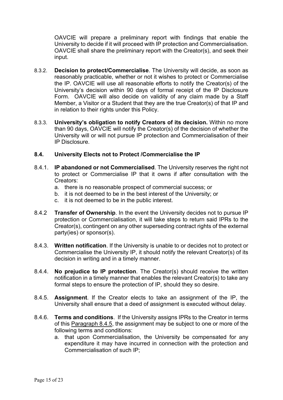OAVCIE will prepare a preliminary report with findings that enable the University to decide if it will proceed with IP protection and Commercialisation. OAVCIE shall share the preliminary report with the Creator(s), and seek their input.

- 8.3.2. **Decision to protect/Commercialise**. The University will decide, as soon as reasonably practicable, whether or not it wishes to protect or Commercialise the IP. OAVCIE will use all reasonable efforts to notify the Creator(s) of the University's decision within 90 days of formal receipt of the IP Disclosure Form. OAVCIE will also decide on validity of any claim made by a Staff Member, a Visitor or a Student that they are the true Creator(s) of that IP and in relation to their rights under this Policy.
- 8.3.3. **University's obligation to notify Creators of its decision.** Within no more than 90 days, OAVCIE will notify the Creator(s) of the decision of whether the University will or will not pursue IP protection and Commercialisation of their IP Disclosure.

## **8.4. University Elects not to Protect /Commercialise the IP**

- 8.4.1. **IP abandoned or not Commercialised**. The University reserves the right not to protect or Commercialise IP that it owns if after consultation with the Creators:
	- a. there is no reasonable prospect of commercial success; or
	- b. it is not deemed to be in the best interest of the University; or
	- c. it is not deemed to be in the public interest.
- 8.4.2 **Transfer of Ownership**. In the event the University decides not to pursue IP protection or Commercialisation, it will take steps to return said IPRs to the Creator(s), contingent on any other superseding contract rights of the external party(ies) or sponsor(s).
- 8.4.3. **Written notification**. If the University is unable to or decides not to protect or Commercialise the University IP, it should notify the relevant Creator(s) of its decision in writing and in a timely manner.
- 8.4.4. **No prejudice to IP protection**. The Creator(s) should receive the written notification in a timely manner that enables the relevant Creator(s) to take any formal steps to ensure the protection of IP, should they so desire.
- 8.4.5. **Assignment**. If the Creator elects to take an assignment of the IP, the University shall ensure that a deed of assignment is executed without delay.
- 8.4.6. **Terms and conditions**. If the University assigns IPRs to the Creator in terms of this Paragraph 8.4.5, the assignment may be subject to one or more of the following terms and conditions:
	- a. that upon Commercialisation, the University be compensated for any expenditure it may have incurred in connection with the protection and Commercialisation of such IP;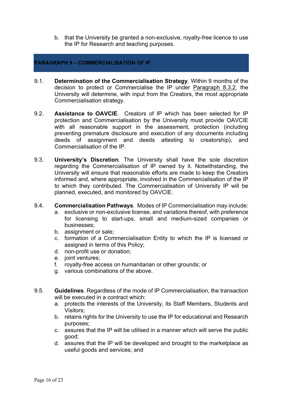b. that the University be granted a non-exclusive, royalty-free licence to use the IP for Research and teaching purposes.

## **PARAGRAPH 9 – COMMERCIALISATION OF IP**

- 9.1. **Determination of the Commercialisation Strategy**. Within 9 months of the decision to protect or Commercialise the IP under Paragraph 8.3.2, the University will determine, with input from the Creators, the most appropriate Commercialisation strategy.
- 9.2. **Assistance to OAVCIE**. Creators of IP which has been selected for IP protection and Commercialisation by the University must provide OAVCIE with all reasonable support in the assessment, protection (including preventing premature disclosure and execution of any documents including deeds of assignment and deeds attesting to creatorship), and Commercialisation of the IP.
- 9.3. **University's Discretion**. The University shall have the sole discretion regarding the Commercialisation of IP owned by it. Notwithstanding, the University will ensure that reasonable efforts are made to keep the Creators informed and, where appropriate, involved in the Commercialisation of the IP to which they contributed. The Commercialisation of University IP will be planned, executed, and monitored by OAVCIE.
- 9.4. **Commercialisation Pathways**. Modes of IP Commercialisation may include:
	- a. exclusive or non-exclusive license, and variations thereof, with preference for licensing to start-ups, small and medium-sized companies or businesses;
	- b. assignment or sale;
	- c. formation of a Commercialisation Entity to which the IP is licensed or assigned in terms of this Policy;
	- d. non-profit use or donation;
	- e. joint ventures;
	- f. royalty-free access on humanitarian or other grounds; or
	- g. various combinations of the above.
- 9.5. **Guidelines**. Regardless of the mode of IP Commercialisation, the transaction will be executed in a contract which:
	- a. protects the interests of the University, its Staff Members, Students and Visitors;
	- b. retains rights for the University to use the IP for educational and Research purposes;
	- c. assures that the IP will be utilised in a manner which will serve the public good;
	- d. assures that the IP will be developed and brought to the marketplace as useful goods and services; and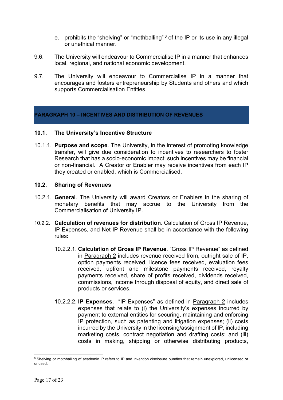- e. prohibits the "shelving" or "mothballing" 3 of the IP or its use in any illegal or unethical manner.
- 9.6. The University will endeavour to Commercialise IP in a manner that enhances local, regional, and national economic development.
- 9.7. The University will endeavour to Commercialise IP in a manner that encourages and fosters entrepreneurship by Students and others and which supports Commercialisation Entities.

## **PARAGRAPH 10 – INCENTIVES AND DISTRIBUTION OF REVENUES**

## **10.1. The University's Incentive Structure**

10.1.1. **Purpose and scope**. The University, in the interest of promoting knowledge transfer, will give due consideration to incentives to researchers to foster Research that has a socio-economic impact; such incentives may be financial or non-financial. A Creator or Enabler may receive incentives from each IP they created or enabled, which is Commercialised.

## **10.2. Sharing of Revenues**

- 10.2.1. **General**. The University will award Creators or Enablers in the sharing of monetary benefits that may accrue to the University from the Commercialisation of University IP.
- 10.2.2. **Calculation of revenues for distribution**. Calculation of Gross IP Revenue, IP Expenses, and Net IP Revenue shall be in accordance with the following rules:
	- 10.2.2.1. **Calculation of Gross IP Revenue**. "Gross IP Revenue" as defined in Paragraph 2 includes revenue received from, outright sale of IP, option payments received, licence fees received, evaluation fees received, upfront and milestone payments received, royalty payments received, share of profits received, dividends received, commissions, income through disposal of equity, and direct sale of products or services.
	- 10.2.2.2. **IP Expenses**. "IP Expenses" as defined in Paragraph 2 includes expenses that relate to (i) the University's expenses incurred by payment to external entities for securing, maintaining and enforcing IP protection, such as patenting and litigation expenses; (ii) costs incurred by the University in the licensing/assignment of IP, including marketing costs, contract negotiation and drafting costs; and (iii) costs in making, shipping or otherwise distributing products,

<sup>&</sup>lt;sup>3</sup> Shelving or mothballing of academic IP refers to IP and invention disclosure bundles that remain unexplored, unlicensed or unused.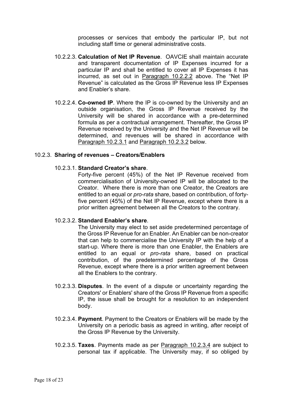processes or services that embody the particular IP, but not including staff time or general administrative costs.

- 10.2.2.3. **Calculation of Net IP Revenue**. OAVCIE shall maintain accurate and transparent documentation of IP Expenses incurred for a particular IP and shall be entitled to cover all IP Expenses it has incurred, as set out in Paragraph 10.2.2.2 above. The "Net IP Revenue" is calculated as the Gross IP Revenue less IP Expenses and Enabler's share.
- 10.2.2.4. **Co-owned IP**. Where the IP is co-owned by the University and an outside organisation, the Gross IP Revenue received by the University will be shared in accordance with a pre-determined formula as per a contractual arrangement. Thereafter, the Gross IP Revenue received by the University and the Net IP Revenue will be determined, and revenues will be shared in accordance with Paragraph 10.2.3.1 and Paragraph 10.2.3.2 below.

## 10.2.3. **Sharing of revenues – Creators/Enablers**

## 10.2.3.1. **Standard Creator's share**.

Forty-five percent (45%) of the Net IP Revenue received from commercialisation of University-owned IP will be allocated to the Creator. Where there is more than one Creator, the Creators are entitled to an equal or *pro-rata* share, based on contribution, of fortyfive percent (45%) of the Net IP Revenue, except where there is a prior written agreement between all the Creators to the contrary.

## 10.2.3.2. **Standard Enabler's share**.

The University may elect to set aside predetermined percentage of the Gross IP Revenue for an Enabler. An Enabler can be non-creator that can help to commercialise the University IP with the help of a start-up. Where there is more than one Enabler, the Enablers are entitled to an equal or *pro-rata* share, based on practical contribution, of the predetermined percentage of the Gross Revenue, except where there is a prior written agreement between all the Enablers to the contrary.

- 10.2.3.3. **Disputes**. In the event of a dispute or uncertainty regarding the Creators' or Enablers' share of the Gross IP Revenue from a specific IP, the issue shall be brought for a resolution to an independent body.
- 10.2.3.4. **Payment**. Payment to the Creators or Enablers will be made by the University on a periodic basis as agreed in writing, after receipt of the Gross IP Revenue by the University.
- 10.2.3.5. **Taxes**. Payments made as per Paragraph 10.2.3.4 are subject to personal tax if applicable. The University may, if so obliged by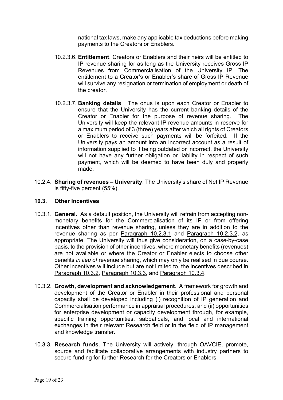national tax laws, make any applicable tax deductions before making payments to the Creators or Enablers.

- 10.2.3.6. **Entitlement**. Creators or Enablers and their heirs will be entitled to IP revenue sharing for as long as the University receives Gross IP Revenues from Commercialisation of the University IP. The entitlement to a Creator's or Enabler's share of Gross IP Revenue will survive any resignation or termination of employment or death of the creator.
- 10.2.3.7. **Banking details**. The onus is upon each Creator or Enabler to ensure that the University has the current banking details of the Creator or Enabler for the purpose of revenue sharing. The University will keep the relevant IP revenue amounts in reserve for a maximum period of 3 (three) years after which all rights of Creators or Enablers to receive such payments will be forfeited. If the University pays an amount into an incorrect account as a result of information supplied to it being outdated or incorrect, the University will not have any further obligation or liability in respect of such payment, which will be deemed to have been duly and properly made.
- 10.2.4. **Sharing of revenues – University**. The University's share of Net IP Revenue is fifty-five percent (55%).

## **10.3. Other Incentives**

- 10.3.1. **General.** As a default position, the University will refrain from accepting nonmonetary benefits for the Commercialisation of its IP or from offering incentives other than revenue sharing, unless they are in addition to the revenue sharing as per Paragraph 10.2.3.1 and Paragraph 10.2.3.2, as appropriate. The University will thus give consideration, on a case-by-case basis, to the provision of other incentives, where monetary benefits (revenues) are not available or where the Creator or Enabler elects to choose other benefits *in lieu of* revenue sharing, which may only be realised in due course. Other incentives will include but are not limited to, the incentives described in Paragraph 10.3.2, Paragraph 10.3.3, and Paragraph 10.3.4.
- 10.3.2. **Growth, development and acknowledgement**.A framework for growth and development of the Creator or Enabler in their professional and personal capacity shall be developed including (i) recognition of IP generation and Commercialisation performance in appraisal procedures; and (ii) opportunities for enterprise development or capacity development through, for example, specific training opportunities, sabbaticals, and local and international exchanges in their relevant Research field or in the field of IP management and knowledge transfer.
- 10.3.3. **Research funds**. The University will actively, through OAVCIE, promote, source and facilitate collaborative arrangements with industry partners to secure funding for further Research for the Creators or Enablers.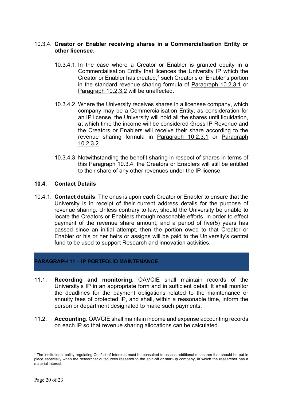## 10.3.4. **Creator or Enabler receiving shares in a Commercialisation Entity or other licensee**.

- 10.3.4.1. In the case where a Creator or Enabler is granted equity in a Commercialisation Entity that licences the University IP which the Creator or Enabler has created,<sup>4</sup> such Creator's or Enabler's portion in the standard revenue sharing formula of Paragraph 10.2.3.1 or Paragraph 10.2.3.2 will be unaffected.
- 10.3.4.2. Where the University receives shares in a licensee company, which company may be a Commercialisation Entity, as consideration for an IP license, the University will hold all the shares until liquidation, at which time the income will be considered Gross IP Revenue and the Creators or Enablers will receive their share according to the revenue sharing formula in Paragraph 10.2.3.1 or Paragraph 10.2.3.2.
- 10.3.4.3. Notwithstanding the benefit sharing in respect of shares in terms of this Paragraph 10.3.4, the Creators or Enablers will still be entitled to their share of any other revenues under the IP license.

## **10.4. Contact Details**

10.4.1. **Contact details**. The onus is upon each Creator or Enabler to ensure that the University is in receipt of their current address details for the purpose of revenue sharing. Unless contrary to law, should the University be unable to locate the Creators or Enablers through reasonable efforts, in order to effect payment of the revenue share amount, and a period of five(5) years has passed since an initial attempt, then the portion owed to that Creator or Enabler or his or her heirs or assigns will be paid to the University's central fund to be used to support Research and innovation activities.

## **PARAGRAPH 11 – IP PORTFOLIO MAINTENANCE**

- 11.1. **Recording and monitoring**. OAVCIE shall maintain records of the University's IP in an appropriate form and in sufficient detail. It shall monitor the deadlines for the payment obligations related to the maintenance or annuity fees of protected IP, and shall, within a reasonable time, inform the person or department designated to make such payments.
- 11.2. **Accounting**. OAVCIE shall maintain income and expense accounting records on each IP so that revenue sharing allocations can be calculated.

<sup>&</sup>lt;sup>4</sup> The institutional policy regulating Conflict of Interests must be consulted to assess additional measures that should be put in place especially when the researcher outsources research to the spin-off or start-up company, in which the researcher has a material interest.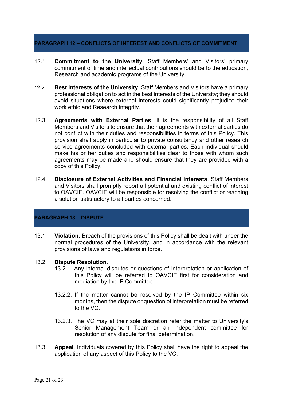## **PARAGRAPH 12 – CONFLICTS OF INTEREST AND CONFLICTS OF COMMITMENT**

- 12.1. **Commitment to the University**. Staff Members' and Visitors' primary commitment of time and intellectual contributions should be to the education, Research and academic programs of the University.
- 12.2. **Best Interests of the University**. Staff Members and Visitors have a primary professional obligation to act in the best interests of the University; they should avoid situations where external interests could significantly prejudice their work ethic and Research integrity.
- 12.3. **Agreements with External Parties**. It is the responsibility of all Staff Members and Visitors to ensure that their agreements with external parties do not conflict with their duties and responsibilities in terms of this Policy. This provision shall apply in particular to private consultancy and other research service agreements concluded with external parties. Each individual should make his or her duties and responsibilities clear to those with whom such agreements may be made and should ensure that they are provided with a copy of this Policy.
- 12.4. **Disclosure of External Activities and Financial Interests**. Staff Members and Visitors shall promptly report all potential and existing conflict of interest to OAVCIE. OAVCIE will be responsible for resolving the conflict or reaching a solution satisfactory to all parties concerned.

## **PARAGRAPH 13 – DISPUTE**

13.1. **Violation.** Breach of the provisions of this Policy shall be dealt with under the normal procedures of the University, and in accordance with the relevant provisions of laws and regulations in force.

## 13.2. **Dispute Resolution**.

- 13.2.1. Any internal disputes or questions of interpretation or application of this Policy will be referred to OAVCIE first for consideration and mediation by the IP Committee.
- 13.2.2. If the matter cannot be resolved by the IP Committee within six months, then the dispute or question of interpretation must be referred to the VC.
- 13.2.3. The VC may at their sole discretion refer the matter to University's Senior Management Team or an independent committee for resolution of any dispute for final determination.
- 13.3. **Appeal**. Individuals covered by this Policy shall have the right to appeal the application of any aspect of this Policy to the VC.